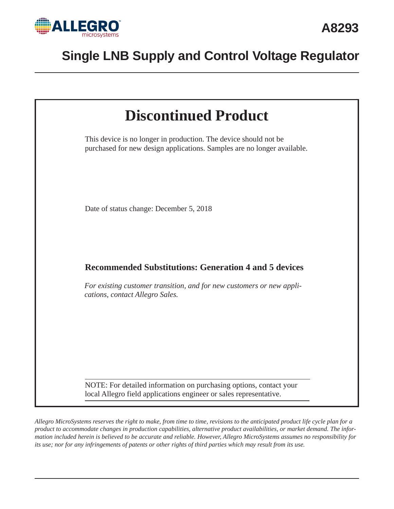



*Allegro MicroSystems reserves the right to make, from time to time, revisions to the anticipated product life cycle plan for a product to accommodate changes in production capabilities, alternative product availabilities, or market demand. The information included herein is believed to be accurate and reliable. However, Allegro MicroSystems assumes no responsibility for its use; nor for any infringements of patents or other rights of third parties which may result from its use.*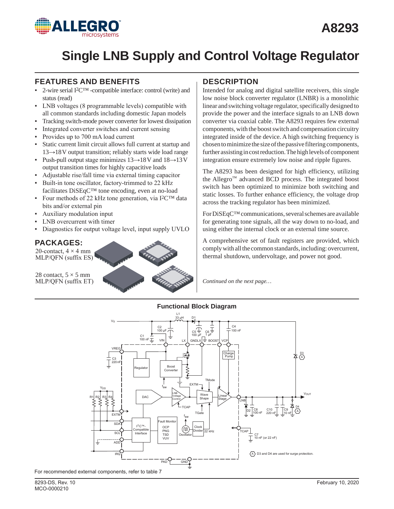

### **FEATURES AND BENEFITS**

- 2-wire serial I<sup>2</sup>C<sup>™</sup> -compatible interface: control (write) and status (read)
- ▪ LNB voltages (8 programmable levels) compatible with all common standards including domestic Japan models
- Tracking switch-mode power converter for lowest dissipation
- Integrated converter switches and current sensing
- Provides up to 700 mA load current
- Static current limit circuit allows full current at startup and 13*→*18V output transition; reliably starts wide load range
- ▪ Push-pull output stage minimizes 13*→*18V and 18*→*13V output transition times for highly capacitive loads
- Adjustable rise/fall time via external timing capacitor
- Built-in tone oscillator, factory-trimmed to 22 kHz facilitates DiSEqC™ tone encoding, even at no-load
- Four methods of 22 kHz tone generation, via I<sup>2</sup>C™ data bits and/or external pin
- Auxiliary modulation input
- LNB overcurrent with timer
- ▪ Diagnostics for output voltage level, input supply UVLO

### **PACKAGES:**

20-contact,  $4 \times 4$  mm MLP/QFN (suffix ES)

28 contact,  $5 \times 5$  mm MLP/QFN (suffix ET)

## **DESCRIPTION**

Intended for analog and digital satellite receivers, this single low noise block converter regulator (LNBR) is a monolithic linear and switching voltage regulator, specifically designed to provide the power and the interface signals to an LNB down converter via coaxial cable. The A8293 requires few external components, with the boost switch and compensation circuitry integrated inside of the device. A high switching frequency is chosen to minimize the size of the passive filtering components, further assisting in cost reduction. The high levels of component integration ensure extremely low noise and ripple figures.

The A8293 has been designed for high efficiency, utilizing the Allegro™ advanced BCD process. The integrated boost switch has been optimized to minimize both switching and static losses. To further enhance efficiency, the voltage drop across the tracking regulator has been minimized.

For DiSEqC™ communications, several schemes are available for generating tone signals, all the way down to no-load, and using either the internal clock or an external time source.

A comprehensive set of fault registers are provided, which comply with all the common standards, including: overcurrent, thermal shutdown, undervoltage, and power not good.

*Continued on the next page…*

#### **Functional Block Diagram**

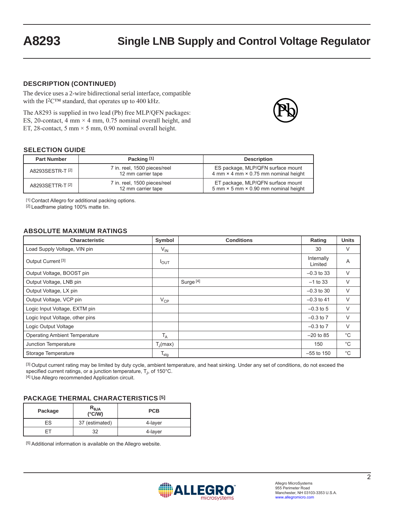#### **DESCRIPTION (CONTINUED)**

The device uses a 2-wire bidirectional serial interface, compatible with the I<sup>2</sup>C<sup>™</sup> standard, that operates up to 400 kHz.

The A8293 is supplied in two lead (Pb) free MLP/QFN packages: ES, 20-contact, 4 mm  $\times$  4 mm, 0.75 nominal overall height, and ET, 28-contact, 5 mm  $\times$  5 mm, 0.90 nominal overall height.



### **SELECTION GUIDE**

| <b>Part Number</b> | Packing [1]                                        | <b>Description</b>                                                                                            |
|--------------------|----------------------------------------------------|---------------------------------------------------------------------------------------------------------------|
| A8293SESTR-T [2]   | 7 in. reel, 1500 pieces/reel<br>12 mm carrier tape | ES package, MLP/QFN surface mount<br>4 mm × 4 mm × 0.75 mm nominal height                                     |
| A8293SETTR-T [2]   | 7 in. reel, 1500 pieces/reel<br>12 mm carrier tape | ET package, MLP/QFN surface mount<br>$5 \text{ mm} \times 5 \text{ mm} \times 0.90 \text{ mm}$ nominal height |

[1] Contact Allegro for additional packing options.

[2] Leadframe plating 100% matte tin.

#### **ABSOLUTE MAXIMUM RATINGS**

| <b>Characteristic</b>                | Symbol                      | <b>Conditions</b> | Rating                | <b>Units</b> |
|--------------------------------------|-----------------------------|-------------------|-----------------------|--------------|
| Load Supply Voltage, VIN pin         | $V_{IN}$                    |                   | 30                    | V            |
| Output Current <sup>[3]</sup>        | $I_{\text{OUT}}$            |                   | Internally<br>Limited | A            |
| Output Voltage, BOOST pin            |                             |                   | $-0.3$ to 33          | V            |
| Output Voltage, LNB pin              |                             | Surge [4]         | $-1$ to 33            | V            |
| Output Voltage, LX pin               |                             |                   | $-0.3$ to 30          | V            |
| Output Voltage, VCP pin              | $V_{\text{CP}}$             |                   | $-0.3$ to 41          | V            |
| Logic Input Voltage, EXTM pin        |                             |                   | $-0.3$ to 5           | V            |
| Logic Input Voltage, other pins      |                             |                   | $-0.3$ to $7$         | $\vee$       |
| Logic Output Voltage                 |                             |                   | $-0.3$ to $7$         | V            |
| <b>Operating Ambient Temperature</b> | $T_A$                       |                   | $-20$ to 85           | $^{\circ}$ C |
| Junction Temperature                 | $T_J$ (max)                 |                   | 150                   | $^{\circ}C$  |
| Storage Temperature                  | $\mathsf{T}_{\mathsf{stg}}$ |                   | $-55$ to 150          | $^{\circ}C$  |

[3] Output current rating may be limited by duty cycle, ambient temperature, and heat sinking. Under any set of conditions, do not exceed the specified current ratings, or a junction temperature,  $T_{\text{J}}$ , of 150 $^{\circ}$ C.

[4] Use Allegro recommended Application circuit.

#### **PACKAGE THERMAL CHARACTERISTICS [5]**

| Package | $R_{\theta$ JA<br>$(^{\circ}C/W)$ | <b>PCB</b> |
|---------|-----------------------------------|------------|
| ES      | 37 (estimated)                    | 4-layer    |
|         | 32                                | 4-layer    |

[5] Additional information is available on the Allegro website.

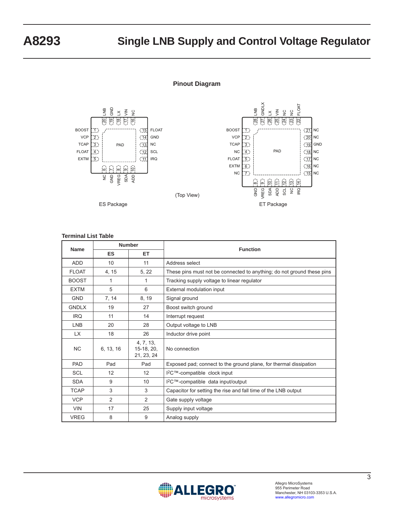#### **Pinout Diagram**



#### **Terminal List Table**

| <b>Number</b><br><b>Name</b> |                        |                                         | <b>Function</b>                                                        |  |
|------------------------------|------------------------|-----------------------------------------|------------------------------------------------------------------------|--|
|                              | <b>ES</b><br><b>ET</b> |                                         |                                                                        |  |
| <b>ADD</b>                   | 10                     | 11                                      | Address select                                                         |  |
| <b>FLOAT</b>                 | 4, 15                  | 5, 22                                   | These pins must not be connected to anything; do not ground these pins |  |
| <b>BOOST</b>                 | 1                      | 1                                       | Tracking supply voltage to linear regulator                            |  |
| <b>EXTM</b>                  | 5                      | 6                                       | External modulation input                                              |  |
| <b>GND</b>                   | 7, 14                  | 8, 19                                   | Signal ground                                                          |  |
| <b>GNDLX</b>                 | 19                     | 27                                      | Boost switch ground                                                    |  |
| <b>IRQ</b>                   | 11                     | 14                                      | Interrupt request                                                      |  |
| <b>LNB</b>                   | 20                     | 28                                      | Output voltage to LNB                                                  |  |
| LX.                          | 18                     | 26                                      | Inductor drive point                                                   |  |
| <b>NC</b>                    | 6, 13, 16              | 4, 7, 13,<br>$15-18, 20,$<br>21, 23, 24 | No connection                                                          |  |
| <b>PAD</b>                   | Pad                    | Pad                                     | Exposed pad; connect to the ground plane, for thermal dissipation      |  |
| <b>SCL</b>                   | 12                     | 12                                      | I <sup>2</sup> C™-compatible clock input                               |  |
| <b>SDA</b>                   | 9                      | 10                                      | I <sup>2</sup> C™-compatible data input/output                         |  |
| <b>TCAP</b>                  | 3                      | 3                                       | Capacitor for setting the rise and fall time of the LNB output         |  |
| <b>VCP</b>                   | 2                      | $\overline{2}$                          | Gate supply voltage                                                    |  |
| <b>VIN</b>                   | 17                     | 25                                      | Supply input voltage                                                   |  |
| <b>VREG</b>                  | 8                      | 9                                       | Analog supply                                                          |  |

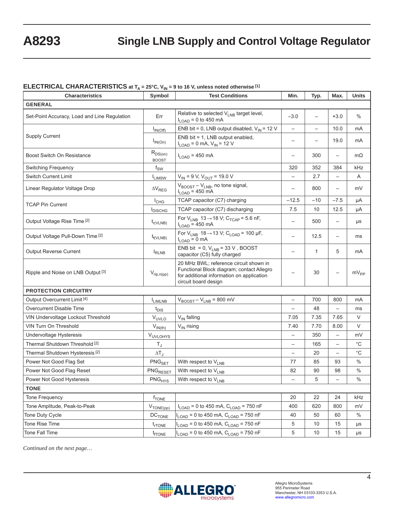### **ELECTRICAL CHARACTERISTICS at T<sub>A</sub> = 25°C, V<sub>IN</sub> = 9 to 16 V, unless noted otherwise [1]**

| <b>Characteristics</b>                       | Symbol                        | <b>Test Conditions</b>                                                                                                                                   | Min.                     | Typ.                     | Max.                     | <b>Units</b>  |  |
|----------------------------------------------|-------------------------------|----------------------------------------------------------------------------------------------------------------------------------------------------------|--------------------------|--------------------------|--------------------------|---------------|--|
| <b>GENERAL</b>                               |                               |                                                                                                                                                          |                          |                          |                          |               |  |
| Set-Point Accuracy, Load and Line Regulation | Err                           | Relative to selected V <sub>LNB</sub> target level,<br>$I_{LOAD}$ = 0 to 450 mA                                                                          | $-3.0$                   | $\overline{\phantom{0}}$ | $+3.0$                   | $\%$          |  |
|                                              | $I_{IN(Off)}$                 | ENB bit = 0, LNB output disabled, $V_{IN}$ = 12 V                                                                                                        | $\overline{\phantom{0}}$ |                          | 10.0                     | mA            |  |
| <b>Supply Current</b>                        | $I_{IN(On)}$                  | ENB bit = 1, LNB output enabled,<br>$I_{LOAD} = 0$ mA, $V_{IN} = 12$ V                                                                                   | $\overline{\phantom{0}}$ |                          | 19.0                     | mA            |  |
| <b>Boost Switch On Resistance</b>            | $R_{DS(on)}$<br><b>BOOST</b>  | $I_{\text{LOAD}}$ = 450 mA                                                                                                                               | $\overline{\phantom{0}}$ | 300                      | $\overline{\phantom{0}}$ | $m\Omega$     |  |
| Switching Frequency                          | $f_{SW}$                      |                                                                                                                                                          | 320                      | 352                      | 384                      | kHz           |  |
| <b>Switch Current Limit</b>                  | <b>ILIMSW</b>                 | $V_{IN}$ = 9 V, $V_{OUT}$ = 19.0 V                                                                                                                       | $\overline{\phantom{0}}$ | 2.7                      | $\qquad \qquad -$        | Α             |  |
| Linear Regulator Voltage Drop                | $\Delta V_{REG}$              | V <sub>BOOST</sub> - V <sub>LNB</sub> , no tone signal,<br>$I_{LOAD}$ = 450 mA                                                                           | $\overline{\phantom{0}}$ | 800                      | $\overline{\phantom{0}}$ | mV            |  |
| <b>TCAP Pin Current</b>                      | $I_{CHG}$                     | TCAP capacitor (C7) charging                                                                                                                             | $-12.5$                  | $-10$                    | $-7.5$                   | μA            |  |
|                                              | <b>I</b> DISCHG               | TCAP capacitor (C7) discharging                                                                                                                          | 7.5                      | 10                       | 12.5                     | μA            |  |
| Output Voltage Rise Time <sup>[2]</sup>      | $t_{r(VLNB)}$                 | For $V_{LNB}$ 13 $\rightarrow$ 18 V; C <sub>TCAP</sub> = 5.6 nF,<br>$I_{LOAD}$ = 450 mA                                                                  | $\qquad \qquad -$        | 500                      | $\overline{\phantom{0}}$ | μs            |  |
| Output Voltage Pull-Down Time [2]            | $t_{f(VLNB)}$                 | For $V_{LNB}$ 18 $\rightarrow$ 13 V; C <sub>LOAD</sub> = 100 µF,<br>$I_{\text{LOAD}} = 0$ mA                                                             |                          | 12.5                     | $\qquad \qquad -$        | ms            |  |
| <b>Output Reverse Current</b>                | $I_{RLNB}$                    | ENB bit = 0, $V_{LNB}$ = 33 V, BOOST<br>capacitor (C5) fully charged                                                                                     |                          | 1                        | 5                        | mA            |  |
| Ripple and Noise on LNB Output [3]           | $V_{rip,n(pp)}$               | 20 MHz BWL; reference circuit shown in<br>Functional Block diagram; contact Allegro<br>for additional information on application<br>circuit board design |                          | 30                       | $\overline{\phantom{0}}$ | $mV_{PP}$     |  |
| <b>PROTECTION CIRCUITRY</b>                  |                               |                                                                                                                                                          |                          |                          |                          |               |  |
| Output Overcurrent Limit <sup>[4]</sup>      | <b>I</b> LIMLNB               | $V_{\text{BOOST}} - V_{\text{LNB}} = 800 \text{ mV}$                                                                                                     | $\qquad \qquad -$        | 700                      | 800                      | mA            |  |
| Overcurrent Disable Time                     | $t_{DIS}$                     |                                                                                                                                                          | $\overline{\phantom{0}}$ | 48                       |                          | ms            |  |
| VIN Undervoltage Lockout Threshold           | $V_{UVLO}$                    | V <sub>IN</sub> falling                                                                                                                                  | 7.05                     | 7.35                     | 7.65                     | $\vee$        |  |
| VIN Turn On Threshold                        | $V_{IN(th)}$                  | V <sub>IN</sub> rising                                                                                                                                   | 7.40                     | 7.70                     | 8.00                     | V             |  |
| Undervoltage Hysteresis                      | V <sub>UVLOHYS</sub>          |                                                                                                                                                          | $\qquad \qquad -$        | 350                      | $\qquad \qquad -$        | mV            |  |
| Thermal Shutdown Threshold [2]               | $T_{\rm J}$                   |                                                                                                                                                          | $\overline{\phantom{0}}$ | 165                      | $\qquad \qquad -$        | $^{\circ}$ C  |  |
| Thermal Shutdown Hysteresis <sup>[2]</sup>   | $\Delta T_J$                  |                                                                                                                                                          |                          | 20                       |                          | $^{\circ}$ C  |  |
| Power Not Good Flag Set                      | PNG <sub>SET</sub>            | With respect to V <sub>LNB</sub>                                                                                                                         | 77                       | 85                       | 93                       | $\%$          |  |
| Power Not Good Flag Reset                    | $PNG_{RESET}$                 | With respect to V <sub>LNB</sub>                                                                                                                         | 82                       | 90                       | 98                       | $\frac{0}{0}$ |  |
| Power Not Good Hysteresis                    | $\mathsf{PNG}_{\mathsf{HYS}}$ | With respect to $V_{LNB}$                                                                                                                                | $\overline{\phantom{m}}$ | 5                        | $\qquad \qquad -$        | $\frac{0}{0}$ |  |
| <b>TONE</b>                                  |                               |                                                                                                                                                          |                          |                          |                          |               |  |
| Tone Frequency                               | $f_{\text{TONE}}$             |                                                                                                                                                          | 20                       | 22                       | 24                       | kHz           |  |
| Tone Amplitude, Peak-to-Peak                 | $V_{\text{TONE(pp)}}$         | $I_{\text{LOAD}}$ = 0 to 450 mA, $C_{\text{LOAD}}$ = 750 nF                                                                                              | 400                      | 620                      | 800                      | mV            |  |
| Tone Duty Cycle                              | $DC$ <sub>TONE</sub>          | $I_{\text{LOAD}}$ = 0 to 450 mA, $C_{\text{LOAD}}$ = 750 nF                                                                                              | 40                       | 50                       | 60                       | %             |  |
| Tone Rise Time                               | $t_{rTONE}$                   | $I_{LOAD} = 0$ to 450 mA, $C_{LOAD} = 750$ nF                                                                                                            | 5                        | 10                       | 15                       | μs            |  |
| Tone Fall Time                               | $t_{\text{fTONE}}$            | $I_{LOAD}$ = 0 to 450 mA, $C_{LOAD}$ = 750 nF                                                                                                            | 5                        | 10                       | 15                       | μs            |  |

*Continued on the next page…*

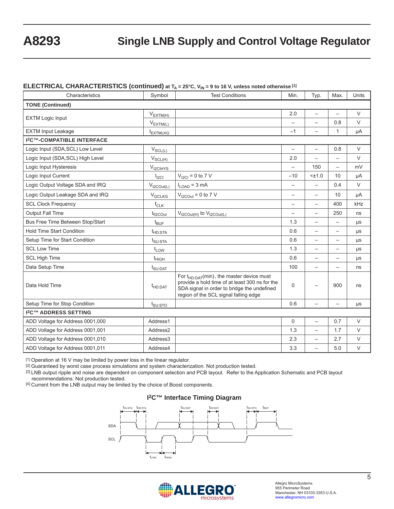#### **ELECTRICAL CHARACTERISTICS (continued) at**  $T_A = 25^\circ$ **C, V<sub>IN</sub> = 9 to 16 V, unless noted otherwise [1]**

|                                             |                          | <b>n</b>                                                                                                                                                                                  |                          |                          |                          |        |
|---------------------------------------------|--------------------------|-------------------------------------------------------------------------------------------------------------------------------------------------------------------------------------------|--------------------------|--------------------------|--------------------------|--------|
| Characteristics                             | Symbol                   | <b>Test Conditions</b>                                                                                                                                                                    | Min.                     | Typ.                     | Max.                     | Units  |
| <b>TONE (Continued)</b>                     |                          |                                                                                                                                                                                           |                          |                          |                          |        |
|                                             | $V_{EXTM(H)}$            |                                                                                                                                                                                           | 2.0                      | $\overline{\phantom{0}}$ |                          | $\vee$ |
| <b>EXTM Logic Input</b>                     | $V_{EXTM(L)}$            |                                                                                                                                                                                           | $\overline{\phantom{0}}$ | $\overline{\phantom{0}}$ | 0.8                      | $\vee$ |
| <b>EXTM Input Leakage</b>                   | <b>EXTMLKG</b>           |                                                                                                                                                                                           | $-1$                     | $\overline{\phantom{0}}$ | $\mathbf{1}$             | μA     |
| <b>I<sup>2</sup>C™-COMPATIBLE INTERFACE</b> |                          |                                                                                                                                                                                           |                          |                          |                          |        |
| Logic Input (SDA, SCL) Low Level            | $V_{SCL(\underline{L})}$ |                                                                                                                                                                                           | $\overline{\phantom{0}}$ | $\overline{\phantom{0}}$ | 0.8                      | $\vee$ |
| Logic Input (SDA, SCL) High Level           | $V_{SCL(H)}$             |                                                                                                                                                                                           | 2.0                      | $\overline{a}$           | $\overline{a}$           | $\vee$ |
| Logic Input Hysteresis                      | $V_{\text{I2CHYS}}$      |                                                                                                                                                                                           | $\overline{\phantom{0}}$ | 150                      |                          | mV     |
| Logic Input Current                         | $I_{\text{ICI}}$         | $V_{12Cl} = 0$ to 7 V                                                                                                                                                                     | $-10$                    | $< \pm 1.0$              | 10                       | μA     |
| Logic Output Voltage SDA and IRQ            | $V_{t2COut(L)}$          | $I_{LOAD} = 3 mA$                                                                                                                                                                         | $\overline{\phantom{0}}$ | $\overline{\phantom{0}}$ | 0.4                      | $\vee$ |
| Logic Output Leakage SDA and IRQ            | $V_{t2CLKG}$             | $V_{t2\text{COut}}$ = 0 to 7 V                                                                                                                                                            |                          | $\overline{\phantom{0}}$ | 10                       | μA     |
| <b>SCL Clock Frequency</b>                  | $f_{CLK}$                |                                                                                                                                                                                           | $\overline{\phantom{0}}$ | $\overline{\phantom{0}}$ | 400                      | kHz    |
| <b>Output Fall Time</b>                     | $t_{fl2COut}$            | $V_{t2\text{COut(H)}}$ to $V_{t2\text{COut(L)}}$                                                                                                                                          | $\overline{\phantom{0}}$ | $\overline{\phantom{0}}$ | 250                      | ns     |
| Bus Free Time Between Stop/Start            | $t_{\text{BUF}}$         |                                                                                                                                                                                           | 1.3                      | $\overline{\phantom{0}}$ | $\overline{\phantom{0}}$ | μs     |
| <b>Hold Time Start Condition</b>            | $t$ <sub>HD:STA</sub>    |                                                                                                                                                                                           | 0.6                      | $\overline{\phantom{0}}$ | $\overline{\phantom{0}}$ | μs     |
| Setup Time for Start Condition              | $t_{\text{SU:STA}}$      |                                                                                                                                                                                           | 0.6                      | $\overline{\phantom{0}}$ | $\overline{\phantom{0}}$ | μs     |
| <b>SCL Low Time</b>                         | $t_{LOW}$                |                                                                                                                                                                                           | 1.3                      | $\overline{\phantom{0}}$ | $\overline{\phantom{0}}$ | μs     |
| <b>SCL High Time</b>                        | $t_{\text{HIGH}}$        |                                                                                                                                                                                           | 0.6                      | $\overline{\phantom{0}}$ |                          | μs     |
| Data Setup Time                             | $t_{\text{SU:DAT}}$      |                                                                                                                                                                                           | 100                      |                          |                          | ns     |
| Data Hold Time                              | $t$ HD:DAT               | For $t_{HD: DAT}(min)$ , the master device must<br>provide a hold time of at least 300 ns for the<br>SDA signal in order to bridge the undefined<br>region of the SCL signal falling edge | $\Omega$                 |                          | 900                      | ns     |
| Setup Time for Stop Condition               | $t_{\text{SU:STO}}$      |                                                                                                                                                                                           | 0.6                      | $\overline{\phantom{0}}$ | $\overline{\phantom{0}}$ | μs     |
| <b>I<sup>2</sup>C™ ADDRESS SETTING</b>      |                          |                                                                                                                                                                                           |                          |                          |                          |        |
| ADD Voltage for Address 0001,000            | Address1                 |                                                                                                                                                                                           | 0                        | $\overline{\phantom{0}}$ | 0.7                      | $\vee$ |
| ADD Voltage for Address 0001,001            | Address2                 |                                                                                                                                                                                           | 1.3                      | $\overline{\phantom{0}}$ | 1.7                      | $\vee$ |
| ADD Voltage for Address 0001,010            | Address3                 |                                                                                                                                                                                           | 2.3                      | $\overline{\phantom{0}}$ | 2.7                      | $\vee$ |
| ADD Voltage for Address 0001,011            | Address4                 |                                                                                                                                                                                           | 3.3                      | $\overline{\phantom{0}}$ | 5.0                      | $\vee$ |

[1] Operation at 16 V may be limited by power loss in the linear regulator.

[2] Guaranteed by worst case process simulations and system characterization. Not production tested.

[3] LNB output ripple and noise are dependent on component selection and PCB layout. Refer to the Application Schematic and PCB layout recommendations. Not production tested.

[4] Current from the LNB output may be limited by the choice of Boost components.

#### **I2C™ Interface Timing Diagram**



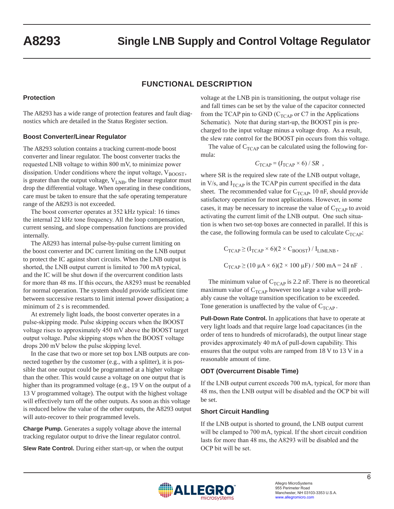### **FUNCTIONAL DESCRIPTION**

#### **Protection**

The A8293 has a wide range of protection features and fault diagnostics which are detailed in the Status Register section.

#### **Boost Converter/Linear Regulator**

The A8293 solution contains a tracking current-mode boost converter and linear regulator. The boost converter tracks the requested LNB voltage to within 800 mV, to minimize power dissipation. Under conditions where the input voltage,  $V_{\text{BOOST}}$ , is greater than the output voltage,  $V_{LNB}$ , the linear regulator must drop the differential voltage. When operating in these conditions, care must be taken to ensure that the safe operating temperature range of the A8293 is not exceeded.

The boost converter operates at 352 kHz typical: 16 times the internal 22 kHz tone frequency. All the loop compensation, current sensing, and slope compensation functions are provided internally.

The A8293 has internal pulse-by-pulse current limiting on the boost converter and DC current limiting on the LNB output to protect the IC against short circuits. When the LNB output is shorted, the LNB output current is limited to 700 mA typical, and the IC will be shut down if the overcurrent condition lasts for more than 48 ms. If this occurs, the A8293 must be reenabled for normal operation. The system should provide sufficient time between successive restarts to limit internal power dissipation; a minimum of 2 s is recommended.

At extremely light loads, the boost converter operates in a pulse-skipping mode. Pulse skipping occurs when the BOOST voltage rises to approximately 450 mV above the BOOST target output voltage. Pulse skipping stops when the BOOST voltage drops 200 mV below the pulse skipping level.

In the case that two or more set top box LNB outputs are connected together by the customer (e.g., with a splitter), it is possible that one output could be programmed at a higher voltage than the other. This would cause a voltage on one output that is higher than its programmed voltage (e.g., 19 V on the output of a 13 V programmed voltage). The output with the highest voltage will effectively turn off the other outputs. As soon as this voltage is reduced below the value of the other outputs, the A8293 output will auto-recover to their programmed levels.

**Charge Pump.** Generates a supply voltage above the internal tracking regulator output to drive the linear regulator control.

**Slew Rate Control.** During either start-up, or when the output

voltage at the LNB pin is transitioning, the output voltage rise and fall times can be set by the value of the capacitor connected from the TCAP pin to GND ( $C_{TCAP}$  or C7 in the Applications Schematic). Note that during start-up, the BOOST pin is precharged to the input voltage minus a voltage drop. As a result, the slew rate control for the BOOST pin occurs from this voltage.

The value of  $C_{TCAP}$  can be calculated using the following formula:

$$
C_{\text{TCAP}} = (I_{\text{TCAP}} \times 6) / SR ,
$$

where SR is the required slew rate of the LNB output voltage, in  $V/s$ , and  $I_{TCAP}$  is the TCAP pin current specified in the data sheet. The recommended value for  $C_{TCAP}$ , 10 nF, should provide satisfactory operation for most applications. However, in some cases, it may be necessary to increase the value of  $C_{TCAP}$  to avoid activating the current limit of the LNB output. One such situation is when two set-top boxes are connected in parallel. If this is the case, the following formula can be used to calculate  $C_{TCAP}$ :

$$
C_{TCAP} \ge (I_{TCAP} \times 6)(2 \times C_{BOOST}) / I_{LIMLNB},
$$
  

$$
C_{TCAP} \ge (10 \mu A \times 6)(2 \times 100 \mu F) / 500 mA = 24 nF.
$$

The minimum value of  $C_{TCAP}$  is 2.2 nF. There is no theoretical maximum value of  $C_{TCAP}$  however too large a value will probably cause the voltage transition specification to be exceeded. Tone generation is unaffected by the value of  $C_{TCAP}$ .

**Pull-Down Rate Control.** In applications that have to operate at very light loads and that require large load capacitances (in the order of tens to hundreds of microfarads), the output linear stage provides approximately 40 mA of pull-down capability. This ensures that the output volts are ramped from 18 V to 13 V in a reasonable amount of time.

#### **ODT (Overcurrent Disable Time)**

If the LNB output current exceeds 700 mA, typical, for more than 48 ms, then the LNB output will be disabled and the OCP bit will be set.

#### **Short Circuit Handling**

If the LNB output is shorted to ground, the LNB output current will be clamped to 700 mA, typical. If the short circuit condition lasts for more than 48 ms, the A8293 will be disabled and the OCP bit will be set.

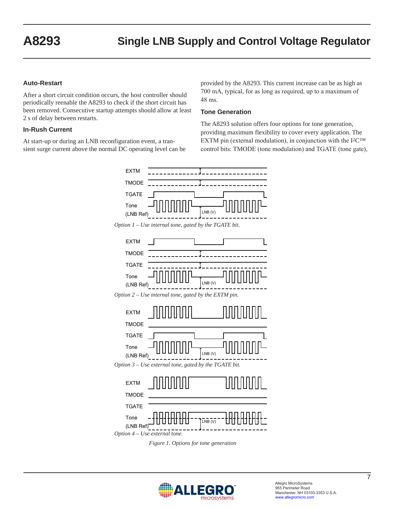#### **Auto-Restart**

After a short circuit condition occurs, the host controller should periodically reenable the A8293 to check if the short circuit has been removed. Consecutive startup attempts should allow at least 2 s of delay between restarts.

#### **In-Rush Current**

At start-up or during an LNB reconfiguration event, a transient surge current above the normal DC operating level can be

provided by the A8293. This current increase can be as high as 700 mA, typical, for as long as required, up to a maximum of 48 ms.

#### **Tone Generation**

The A8293 solution offers four options for tone generation, providing maximum flexibility to cover every application. The EXTM pin (external modulation), in conjunction with the  $I^2C^{TM}$ control bits: TMODE (tone modulation) and TGATE (tone gate),





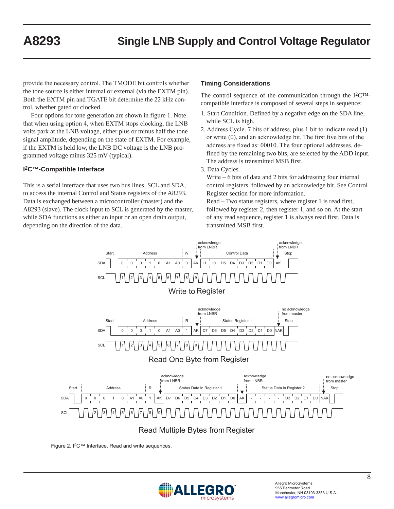provide the necessary control. The TMODE bit controls whether the tone source is either internal or external (via the EXTM pin). Both the EXTM pin and TGATE bit determine the 22 kHz control, whether gated or clocked.

Four options for tone generation are shown in figure 1. Note that when using option 4, when EXTM stops clocking, the LNB volts park at the LNB voltage, either plus or minus half the tone signal amplitude, depending on the state of EXTM. For example, if the EXTM is held low, the LNB DC voltage is the LNB programmed voltage minus 325 mV (typical).

#### **I2C™-Compatible Interface**

This is a serial interface that uses two bus lines, SCL and SDA, to access the internal Control and Status registers of the A8293. Data is exchanged between a microcontroller (master) and the A8293 (slave). The clock input to SCL is generated by the master, while SDA functions as either an input or an open drain output, depending on the direction of the data.

#### **Timing Considerations**

The control sequence of the communication through the I2C™ compatible interface is composed of several steps in sequence:

- 1. Start Condition. Defined by a negative edge on the SDA line, while SCL is high.
- 2. Address Cycle. 7 bits of address, plus 1 bit to indicate read (1) or write (0), and an acknowledge bit. The first five bits of the address are fixed as: 00010. The four optional addresses, defined by the remaining two bits, are selected by the ADD input. The address is transmitted MSB first.

3. Data Cycles.

Write  $-6$  bits of data and 2 bits for addressing four internal control registers, followed by an acknowledge bit. See Control Register section for more information.

Read – Two status registers, where register 1 is read first, followed by register 2, then register 1, and so on. At the start of any read sequence, register 1 is always read first. Data is transmitted MSB first.



Figure 2. I2C™ Interface. Read and write sequences.

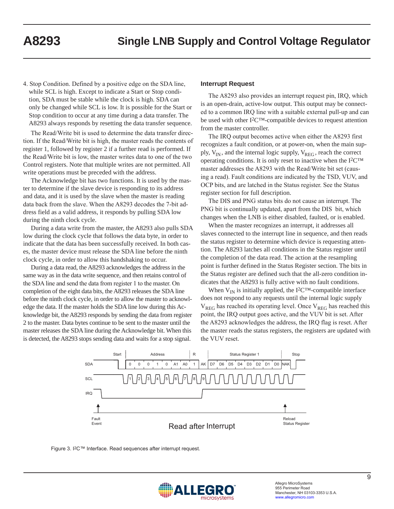4. Stop Condition. Defined by a positive edge on the SDA line, while SCL is high. Except to indicate a Start or Stop condition, SDA must be stable while the clock is high. SDA can only be changed while SCL is low. It is possible for the Start or Stop condition to occur at any time during a data transfer. The A8293 always responds by resetting the data transfer sequence.

The Read/Write bit is used to determine the data transfer direction. If the Read/Write bit is high, the master reads the contents of register 1, followed by register 2 if a further read is performed. If the Read/Write bit is low, the master writes data to one of the two Control registers. Note that multiple writes are not permitted. All write operations must be preceded with the address.

The Acknowledge bit has two functions. It is used by the master to determine if the slave device is responding to its address and data, and it is used by the slave when the master is reading data back from the slave. When the A8293 decodes the 7-bit address field as a valid address, it responds by pulling SDA low during the ninth clock cycle.

During a data write from the master, the A8293 also pulls SDA low during the clock cycle that follows the data byte, in order to indicate that the data has been successfully received. In both cases, the master device must release the SDA line before the ninth clock cycle, in order to allow this handshaking to occur.

During a data read, the A8293 acknowledges the address in the same way as in the data write sequence, and then retains control of the SDA line and send the data from register 1 to the master. On completion of the eight data bits, the A8293 releases the SDA line before the ninth clock cycle, in order to allow the master to acknowledge the data. If the master holds the SDA line low during this Acknowledge bit, the A8293 responds by sending the data from register 2 to the master. Data bytes continue to be sent to the master until the master releases the SDA line during the Acknowledge bit. When this is detected, the A8293 stops sending data and waits for a stop signal.

#### **Interrupt Request**

The A8293 also provides an interrupt request pin, IRQ, which is an open-drain, active-low output. This output may be connected to a common IRQ line with a suitable external pull-up and can be used with other I2C™-compatible devices to request attention from the master controller.

The IRQ output becomes active when either the A8293 first recognizes a fault condition, or at power-on, when the main supply,  $V_{IN}$ , and the internal logic supply,  $V_{REG}$ , reach the correct operating conditions. It is only reset to inactive when the I2C™ master addresses the A8293 with the Read/Write bit set (causing a read). Fault conditions are indicated by the TSD, VUV, and OCP bits, and are latched in the Status register. See the Status register section for full description.

The DIS and PNG status bits do not cause an interrupt. The PNG bit is continually updated, apart from the DIS bit, which changes when the LNB is either disabled, faulted, or is enabled.

When the master recognizes an interrupt, it addresses all slaves connected to the interrupt line in sequence, and then reads the status register to determine which device is requesting attention. The A8293 latches all conditions in the Status register until the completion of the data read. The action at the resampling point is further defined in the Status Register section. The bits in the Status register are defined such that the all-zero condition indicates that the A8293 is fully active with no fault conditions.

When  $V_{IN}$  is initially applied, the I<sup>2</sup>C<sup>TM</sup>-compatible interface does not respond to any requests until the internal logic supply  $V_{REG}$  has reached its operating level. Once  $V_{REG}$  has reached this point, the IRQ output goes active, and the VUV bit is set. After the A8293 acknowledges the address, the IRQ flag is reset. After the master reads the status registers, the registers are updated with the VUV reset.





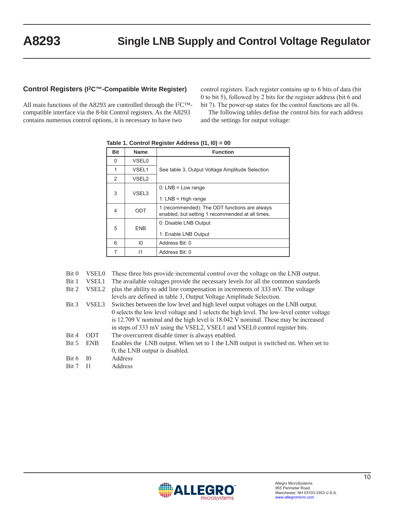#### **Control Registers (I2C™-Compatible Write Register)**

All main functions of the A8293 are controlled through the I2C™ compatible interface via the 8-bit Control registers. As the A8293 contains numerous control options, it is necessary to have two

control registers. Each register contains up to 6 bits of data (bit 0 to bit 5), followed by 2 bits for the register address (bit 6 and bit 7). The power-up states for the control functions are all 0s.

The following tables define the control bits for each address and the settings for output voltage:

|                |                   | $1.9010$ $1.901111$ $1.109101010$ $1.0001000$ $1.1110$                                            |
|----------------|-------------------|---------------------------------------------------------------------------------------------------|
| <b>Bit</b>     | <b>Name</b>       | <b>Function</b>                                                                                   |
| 0              | <b>VSEL0</b>      |                                                                                                   |
| 1              | VSEL1             | See table 3, Output Voltage Amplitude Selection                                                   |
| $\overline{2}$ | VSEL <sub>2</sub> |                                                                                                   |
| 3              | VSEL3             | $0: LNB = Low range$<br>1: $LNB = High range$                                                     |
| 4              | ODT               | 1 (recommended): The ODT functions are always<br>enabled, but setting 1 recommended at all times. |
| 5              | <b>ENB</b>        | 0: Disable LNB Output<br>1: Enable LNB Output                                                     |
| 6              | 10                | Address Bit: 0                                                                                    |
| 7              | 11                | Address Bit: 0                                                                                    |

**Table 1. Control Register Address (I1, I0) = 00**

Bit 0 VSEL0 These three bits provide incremental control over the voltage on the LNB output.

Bit 1 VSEL1 The available voltages provide the necessary levels for all the common standards

Bit 2 VSEL2 plus the ability to add line compensation in increments of 333 mV. The voltage levels are defined in table 3, Output Voltage Amplitude Selection.

- Bit 3 VSEL3 Switches between the low level and high level output voltages on the LNB output. 0 selects the low level voltage and 1 selects the high level. The low-level center voltage is 12.709 V nominal and the high level is 18.042 V nominal. These may be increased in steps of 333 mV using the VSEL2, VSEL1 and VSEL0 control register bits.
- Bit 4 ODT The overcurrent disable timer is always enabled.
- Bit 5 ENB Enables the LNB output. When set to 1 the LNB output is switched on. When set to 0, the LNB output is disabled.
- Bit 6 I0 Address
- Bit 7 I1 Address

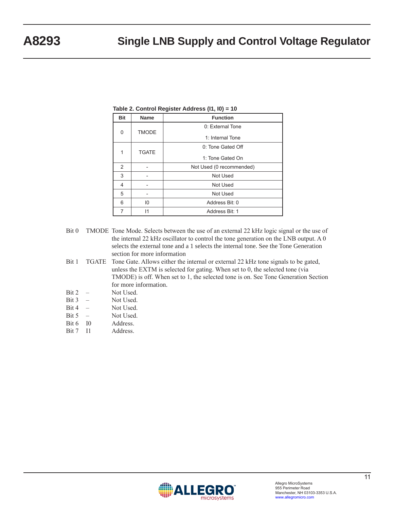| <b>Bit</b> | <b>Name</b>       | <b>Function</b>          |  |
|------------|-------------------|--------------------------|--|
|            | <b>TMODE</b><br>0 | 0: External Tone         |  |
|            |                   | 1: Internal Tone         |  |
|            |                   | 0: Tone Gated Off        |  |
| 1          | <b>TGATE</b>      | 1: Tone Gated On         |  |
| 2          |                   | Not Used (0 recommended) |  |
| 3          |                   | Not Used                 |  |
| 4          | Not Used          |                          |  |
| 5          |                   | Not Used                 |  |
| 6          | $10^{\circ}$      | Address Bit: 0           |  |
| 7          | 11                | Address Bit: 1           |  |

**Table 2. Control Register Address (I1, I0) = 10**

- Bit 0 TMODE Tone Mode. Selects between the use of an external 22 kHz logic signal or the use of the internal 22 kHz oscillator to control the tone generation on the LNB output. A 0 selects the external tone and a 1 selects the internal tone. See the Tone Generation section for more information
- Bit 1 TGATE Tone Gate. Allows either the internal or external 22 kHz tone signals to be gated, unless the EXTM is selected for gating. When set to 0, the selected tone (via TMODE) is off. When set to 1, the selected tone is on. See Tone Generation Section for more information.
- Bit 2 Not Used.
- Bit 3 Not Used.
- Bit 4 Not Used.
- Bit 5 Not Used.
- Bit 6 I0 Address.
- Bit 7 I1 Address.

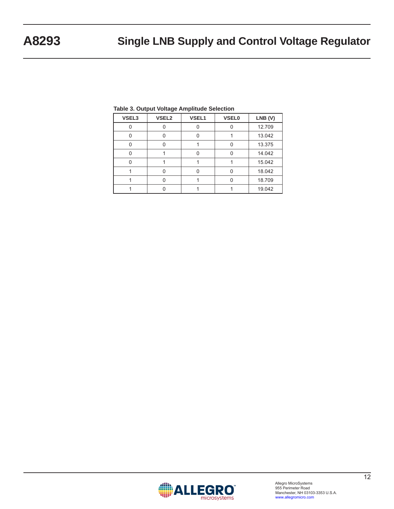| – arpar 1911.go 1911.putaa |                   |              |              |        |
|----------------------------|-------------------|--------------|--------------|--------|
| VSEL3                      | VSEL <sub>2</sub> | <b>VSEL1</b> | <b>VSEL0</b> | LNB(V) |
|                            |                   |              |              | 12.709 |
|                            |                   |              |              | 13.042 |
|                            |                   |              |              | 13.375 |
|                            |                   |              |              | 14.042 |
|                            |                   |              |              | 15.042 |
|                            |                   |              |              | 18.042 |
|                            |                   |              |              | 18.709 |
|                            |                   |              |              | 19.042 |

#### **Table 3. Output Voltage Amplitude Selection**

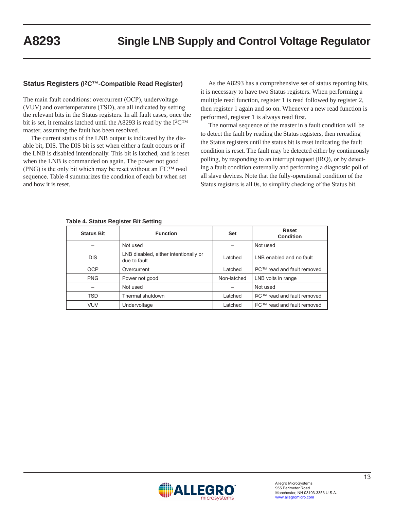#### **Status Registers (I2C™-Compatible Read Register)**

The main fault conditions: overcurrent (OCP), undervoltage (VUV) and overtemperature (TSD), are all indicated by setting the relevant bits in the Status registers. In all fault cases, once the bit is set, it remains latched until the A8293 is read by the I<sup>2</sup>C™ master, assuming the fault has been resolved.

The current status of the LNB output is indicated by the disable bit, DIS. The DIS bit is set when either a fault occurs or if the LNB is disabled intentionally. This bit is latched, and is reset when the LNB is commanded on again. The power not good (PNG) is the only bit which may be reset without an  $12<sup>CTM</sup>$  read sequence. Table 4 summarizes the condition of each bit when set and how it is reset.

As the A8293 has a comprehensive set of status reporting bits, it is necessary to have two Status registers. When performing a multiple read function, register 1 is read followed by register 2, then register 1 again and so on. Whenever a new read function is performed, register 1 is always read first.

The normal sequence of the master in a fault condition will be to detect the fault by reading the Status registers, then rereading the Status registers until the status bit is reset indicating the fault condition is reset. The fault may be detected either by continuously polling, by responding to an interrupt request (IRQ), or by detecting a fault condition externally and performing a diagnostic poll of all slave devices. Note that the fully-operational condition of the Status registers is all 0s, to simplify checking of the Status bit.

| <b>Status Bit</b> | <b>Function</b>                                       | <b>Set</b>  | <b>Reset</b><br>Condition                |
|-------------------|-------------------------------------------------------|-------------|------------------------------------------|
|                   | Not used                                              |             | Not used                                 |
| <b>DIS</b>        | LNB disabled, either intentionally or<br>due to fault | I atched    | LNB enabled and no fault                 |
| OCP               | Overcurrent                                           | Latched     | I <sup>2</sup> C™ read and fault removed |
| <b>PNG</b>        | Power not good                                        | Non-latched | LNB volts in range                       |
|                   | Not used                                              |             | Not used                                 |
| TSD               | Thermal shutdown                                      | Latched     | I <sup>2</sup> C™ read and fault removed |
| <b>VUV</b>        | Undervoltage                                          | Latched     | I <sup>2</sup> C™ read and fault removed |

|  |  | Table 4. Status Register Bit Setting |  |  |
|--|--|--------------------------------------|--|--|
|--|--|--------------------------------------|--|--|

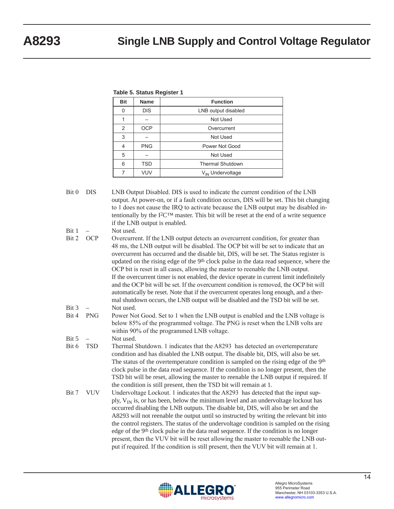#### **Table 5. Status Register 1**

| <b>Bit</b> | <b>Name</b> | <b>Function</b>              |  |  |
|------------|-------------|------------------------------|--|--|
| 0          | <b>DIS</b>  | LNB output disabled          |  |  |
|            |             | Not Used                     |  |  |
| 2          | <b>OCP</b>  | Overcurrent                  |  |  |
| 3          |             | Not Used                     |  |  |
| 4          | <b>PNG</b>  | Power Not Good               |  |  |
| 5          |             | Not Used                     |  |  |
| 6          | <b>TSD</b>  | <b>Thermal Shutdown</b>      |  |  |
|            | <b>VUV</b>  | V <sub>IN</sub> Undervoltage |  |  |

Bit 0 DIS LNB Output Disabled. DIS is used to indicate the current condition of the LNB output. At power-on, or if a fault condition occurs, DIS will be set. This bit changing to 1 does not cause the IRQ to activate because the LNB output may be disabled intentionally by the  $I^2C^{TM}$  master. This bit will be reset at the end of a write sequence if the LNB output is enabled.

Bit 1 – Not used.

- Bit 2 OCP Overcurrent. If the LNB output detects an overcurrent condition, for greater than 48 ms, the LNB output will be disabled. The OCP bit will be set to indicate that an overcurrent has occurred and the disable bit, DIS, will be set. The Status register is updated on the rising edge of the 9<sup>th</sup> clock pulse in the data read sequence, where the OCP bit is reset in all cases, allowing the master to reenable the LNB output. If the overcurrent timer is not enabled, the device operate in current limit indefinitely and the OCP bit will be set. If the overcurrent condition is removed, the OCP bit will automatically be reset. Note that if the overcurrent operates long enough, and a thermal shutdown occurs, the LNB output will be disabled and the TSD bit will be set. Bit 3 – Not used.
- Bit 4 PNG Power Not Good. Set to 1 when the LNB output is enabled and the LNB voltage is below 85% of the programmed voltage. The PNG is reset when the LNB volts are within 90% of the programmed LNB voltage.
- Bit 5 Not used.
- Bit 6 TSD Thermal Shutdown. 1 indicates that the A8293 has detected an overtemperature condition and has disabled the LNB output. The disable bit, DIS, will also be set. The status of the overtemperature condition is sampled on the rising edge of the 9<sup>th</sup> clock pulse in the data read sequence. If the condition is no longer present, then the TSD bit will be reset, allowing the master to reenable the LNB output if required. If the condition is still present, then the TSD bit will remain at 1.
- Bit 7 VUV Undervoltage Lockout. 1 indicates that the A8293 has detected that the input supply,  $V_{IN}$  is, or has been, below the minimum level and an undervoltage lockout has occurred disabling the LNB outputs. The disable bit, DIS, will also be set and the A8293 will not reenable the output until so instructed by writing the relevant bit into the control registers. The status of the undervoltage condition is sampled on the rising edge of the 9th clock pulse in the data read sequence. If the condition is no longer present, then the VUV bit will be reset allowing the master to reenable the LNB output if required. If the condition is still present, then the VUV bit will remain at 1.

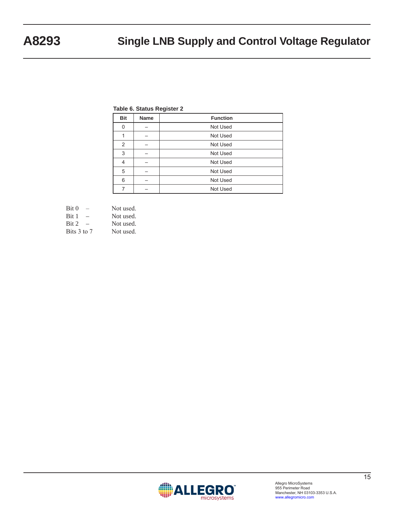#### **Table 6. Status Register 2**

| <b>Bit</b> | <b>Name</b> | <b>Function</b> |
|------------|-------------|-----------------|
| 0          |             | Not Used        |
|            |             | Not Used        |
| 2          |             | Not Used        |
| 3          |             | Not Used        |
| 4          |             | Not Used        |
| 5          |             | Not Used        |
| 6          |             | Not Used        |
|            |             | Not Used        |

| Bit 0       | Not used. |
|-------------|-----------|
| Bit 1       | Not used. |
| Bit 2       | Not used. |
| Bits 3 to 7 | Not used. |

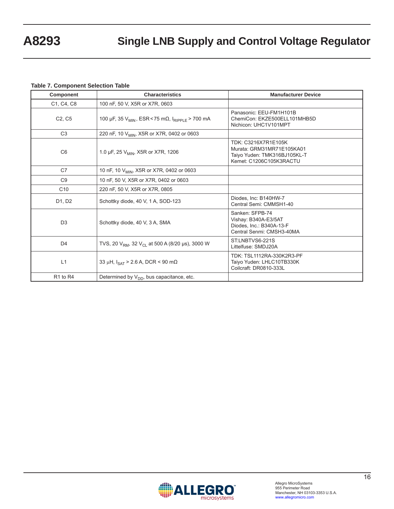#### **Table 7. Component Selection Table**

| <b>Component</b>                 | <b>Characteristics</b>                                                  | <b>Manufacturer Device</b>                                                                                  |
|----------------------------------|-------------------------------------------------------------------------|-------------------------------------------------------------------------------------------------------------|
| C1, C4, C8                       | 100 nF, 50 V, X5R or X7R, 0603                                          |                                                                                                             |
| C <sub>2</sub> , C <sub>5</sub>  | 100 µF, 35 $V_{MIN}$ , ESR < 75 m $\Omega$ , $I_{RIPPLE}$ > 700 mA      | Panasonic: EEU-FM1H101B<br>ChemiCon: EKZE500ELL101MHB5D<br>Nichicon: UHC1V101MPT                            |
| C <sub>3</sub>                   | 220 nF, 10 V <sub>MIN</sub> , X5R or X7R, 0402 or 0603                  |                                                                                                             |
| C <sub>6</sub>                   | 1.0 µF, 25 V <sub>MIN</sub> , X5R or X7R, 1206                          | TDK: C3216X7R1E105K<br>Murata: GRM31MR71E105KA01<br>Taiyo Yuden: TMK316BJ105KL-T<br>Kemet: C1206C105K3RACTU |
| C7                               | 10 nF, 10 V <sub>MIN</sub> , X5R or X7R, 0402 or 0603                   |                                                                                                             |
| C <sub>9</sub>                   | 10 nF, 50 V, X5R or X7R, 0402 or 0603                                   |                                                                                                             |
| C <sub>10</sub>                  | 220 nF, 50 V, X5R or X7R, 0805                                          |                                                                                                             |
| D1, D2                           | Schottky diode, 40 V, 1 A, SOD-123                                      | Diodes, Inc: B140HW-7<br>Central Semi: CMMSH1-40                                                            |
| D <sub>3</sub>                   | Schottky diode, 40 V, 3 A, SMA                                          | Sanken: SFPB-74<br>Vishay: B340A-E3/5AT<br>Diodes, Inc.: B340A-13-F<br>Central Senmi: CMSH3-40MA            |
| D <sub>4</sub>                   | TVS, 20 V <sub>RM</sub> , 32 V <sub>CL</sub> at 500 A (8/20 µs), 3000 W | ST.LNBTVS6-221S<br>Littelfuse: SMDJ20A                                                                      |
| L1                               | 33 µH, $I_{\text{SAT}}$ > 2.6 A, DCR < 90 m $\Omega$                    | TDK: TSL1112RA-330K2R3-PF<br>Taiyo Yuden: LHLC10TB330K<br>Coilcraft: DR0810-333L                            |
| R <sub>1</sub> to R <sub>4</sub> | Determined by V <sub>DD</sub> , bus capacitance, etc.                   |                                                                                                             |

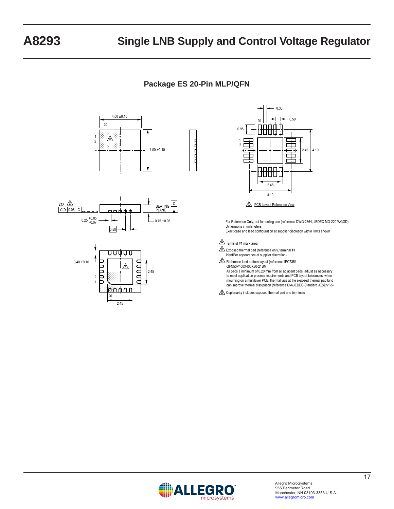## **Package ES 20-Pin MLP/QFN**









For Reference Only, not for tooling use (reference DWG-2864, JEDEC MO-220 WGGD) Dimensions in millimeters Exact case and lead configuration at supplier discretion within limits shown

#### $A$  Terminal #1 mark area

 $\overline{\text{B}}$  Exposed thermal pad (reference only, terminal #1 identifier appearance at supplier discretion)

C Reference land pattern layout (reference IPC7351 QFN50P400X400X80-21BM) All pads a minimum of 0.20 mm from all adjacent pads; adjust as necessary to meet application process requirements and PCB layout tolerances; when mounting on a multilayer PCB, thermal vias at the exposed thermal pad land can improve thermal dissipation (reference EIA/JEDEC Standard JESD51-5)

 $D\setminus$  Coplanarity includes exposed thermal pad and terminals

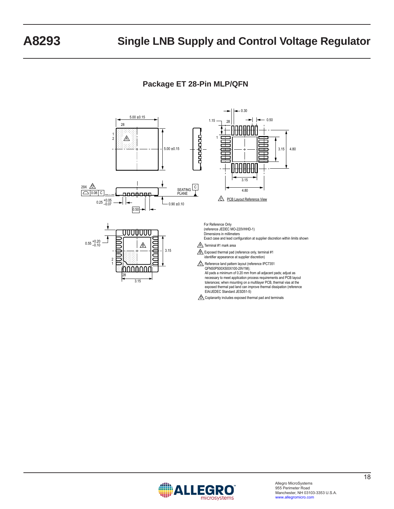**Package ET 28-Pin MLP/QFN**



 $\sqrt{\hat{D}}$  Coplanarity includes exposed thermal pad and terminals